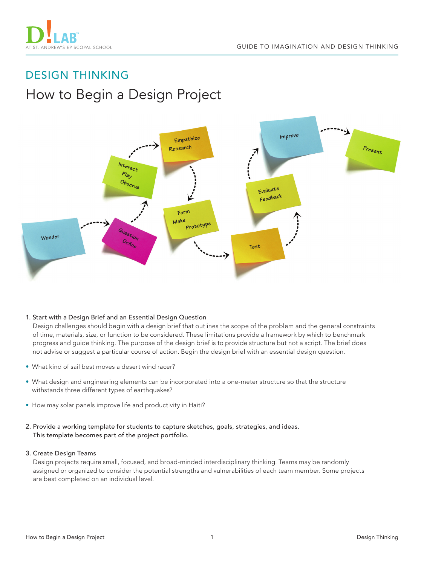

# DESIGN THINKING How to Begin a Design Project



## 1. Start with a Design Brief and an Essential Design Question

Design challenges should begin with a design brief that outlines the scope of the problem and the general constraints of time, materials, size, or function to be considered. These limitations provide a framework by which to benchmark progress and guide thinking. The purpose of the design brief is to provide structure but not a script. The brief does not advise or suggest a particular course of action. Begin the design brief with an essential design question.

- What kind of sail best moves a desert wind racer?
- What design and engineering elements can be incorporated into a one-meter structure so that the structure withstands three different types of earthquakes?
- How may solar panels improve life and productivity in Haiti?
- 2. Provide a working template for students to capture sketches, goals, strategies, and ideas. This template becomes part of the project portfolio.

#### 3. Create Design Teams

Design projects require small, focused, and broad-minded interdisciplinary thinking. Teams may be randomly assigned or organized to consider the potential strengths and vulnerabilities of each team member. Some projects are best completed on an individual level.